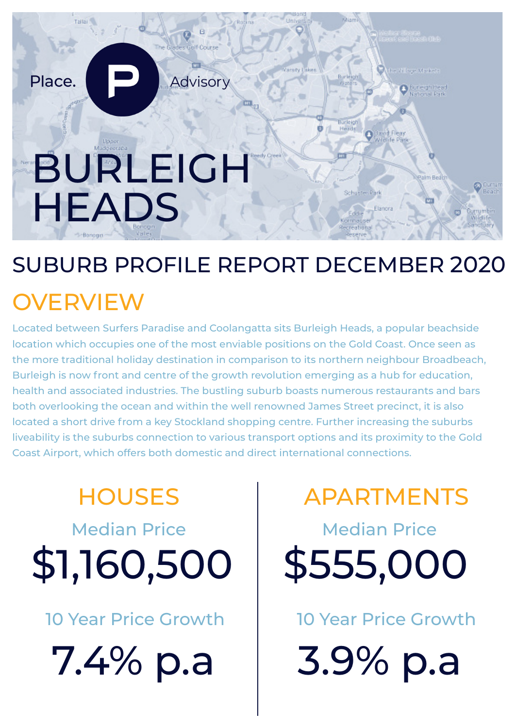

### SUBURB PROFILE REPORT DECEMBER 2020

### **OVERVIEW**

Located between Surfers Paradise and Coolangatta sits Burleigh Heads, a popular beachside location which occupies one of the most enviable positions on the Gold Coast. Once seen as the more traditional holiday destination in comparison to its northern neighbour Broadbeach, Burleigh is now front and centre of the growth revolution emerging as a hub for education, health and associated industries. The bustling suburb boasts numerous restaurants and bars both overlooking the ocean and within the well renowned James Street precinct, it is also located a short drive from a key Stockland shopping centre. Further increasing the suburbs liveability is the suburbs connection to various transport options and its proximity to the Gold Coast Airport, which offers both domestic and direct international connections.

# Median Price **Median Price** \$1,160,500 \$555,000

10 Year Price Growth 10 Year Price Growth

7.4% p.a | 3.9% p.a

HOUSES | APARTMENTS